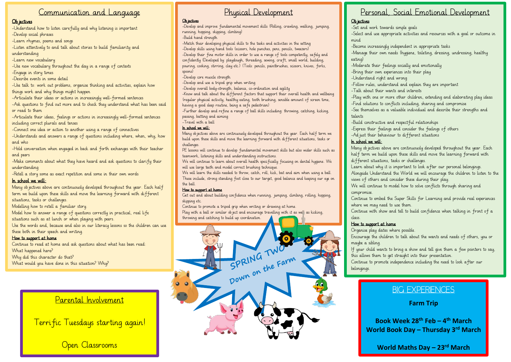## Communication and Language

### Ob iectives

-Understand how to listen carefully and why listening is important -Develop social phrases

-Learn rhymes, poems and songs

-Listen attentively to and talk about stories to build familiarity and understanding

-Learn new vocabulary

-Use new vocabulary throughout the day in a range of contexts -Engage in story times

-Describe events in some detail

-Use talk to: work out problems, organise thinking and activities, explain how things work and why things might happen

-Articulate their ideas or actions in increasingly well-formed sentences

-Ask questions to find out more and to check they understand what has been said or read to them

-Articulate their ideas, feelings or actions in increasingly well-formed sentences including correct plurals and tenses

-Connect one idea or action to another using a range of connectives

-Understands and answers a range of questions including where, when, why, how and who

-Hold conversation when engaged in back and forth exchanges with their teacher and peers

-Make comments about what they have heard and ask questions to clarify their understanding

-Retell a story some as exact repetition and some in their own words

## In school we will:

Many objectives above are continuously developed throughout the year. Each half term we build upon these skills and move the learning forward with different situations, tasks or challenges.

Modelling how to retell a familiar story.

Model how to answer a range of questions correctly in practical, real life situations such as at lunch or when playing with peers.

Use the words and, because and also in our literacy lessons so the children can use these both in their speech and writing.

### How to support at home

Continue to read at home and ask questions about what has been read: What happened here? Why did this character do that? What would you have done in this situation? Why?

# Parental Involvement

Terrific Tuesdays starting again!

Open Classrooms

# Physical Development

#### Ob jectives

-Develop and improve fundamental movement skills (Rolling, crawling, walking, jumping, running, hopping, skipping, climbing)

-Build hand strength

-Match their developing physical skills to the tasks and activities in the setting -Develop skills using hand tools (scissors, hole punches, pens, pencils, tweezers)

-Develop their fine motor skills in order to use a range of tools competently, safely and confidently (Developed by: playdough, threading, sewing, craft, small world, building, pouring, cooking, stirring, clay etc.) (Tools: pencils, paintbrushes, scissors, knives, forks, spoons)

-Develop core muscle strength

-Develop and use a tripod grip when writing

-Develop overall body-strength, balance, co-ordination and agility

-Know and talk about the different factors that support their overall health and wellbeing (regular physical activity, healthy eating, tooth brushing, sensible amount of screen time, having a good sleep routine, being a safe pedestrian)

-Further develop and refine a range of ball skills including: throwing, catching, kicking, passing, batting and aiming

-Travel with a ball

#### In school we will:

Many ob jectives above are continuously developed throughout the year. Each half term we build upon these skills and move the learning forward with different situations, tasks or challenges.

PE lessons will continue to develop fundamental movement skills but also wider skills such as teamwork, listening skills and understanding instructions.

We will continue to learn about overall health specifically focusing on dental hygiene. We will use large teeth and model correct brushing technique.

We will learn the skills needed to throw, catch, roll, kick, bat and aim when using a ball. These include, strong standing foot close to our target, good balance and keeping our eye on the ball.

#### How to support at home

Get out and about building confidence when running, jumping, climbing, rolling, hopping, skipping etc.

Continue to promote a tripod grip when writing or drawing at home. Play with a ball or similar object and encourage travelling with it as we<sup>ll</sup> as kicking, throwing and catching to build up coordination.



## Personal, Social Emotional Development

### Ob jectives

-Set and work towards simple goals

-Select and use appropriate activities and resources with a goal or outcome in mind

-Become increasingly independent in appropriate tasks

-Manage their own needs (hygiene, toileting, dressing, undressing, healthy eating)

-Moderate their feelings socially and emotionally

-Bring their own experiences into their play

-Understand right and wrong

-Follow rules, understand and explain they are important

-Talk about their wants and interests

-Play with one or more other children, extending and elaborating play ideas -Find solutions to conflicts including, sharing and compromise

-See themselves as a valuable individual and describe their strengths and talents

-Build constructive and respectful relationships

-Express their feelings and consider the feelings of others

-Ad just their behaviour to different situations

### In school we will:

Many objectives above are continuously developed throughout the year. Each half term we build upon these skills and move the learning forward with different situations, tasks or challenges.

Learn about why it is important to look after our personal belongings. Alongside Understand the World we will encourage the children to listen to the views of others and consider these during their play.

We will continue to model how to solve conflicts through sharing and compromise.

Continue to embed the Super Skills for Learning and provide real experiences where we may need to use them.

Continue with show and tell to build confidence when talking in front of a class.

### How to support at home

Organise play dates where possible.

Encourage the children to talk about the wants and needs of others, you or maybe a sibling.

If your child wants to bring a show and tell give them a few pointers to say. this allows them to get straight into their presentation.

Continue to promote independence including the need to look after our belongings.

## BIG EXPERIENCES

**Farm Trip** 

**Book Week 28th Feb – 4 th March World Book Day – Thursday 3rd March**

**World Maths Day – 23rd March**